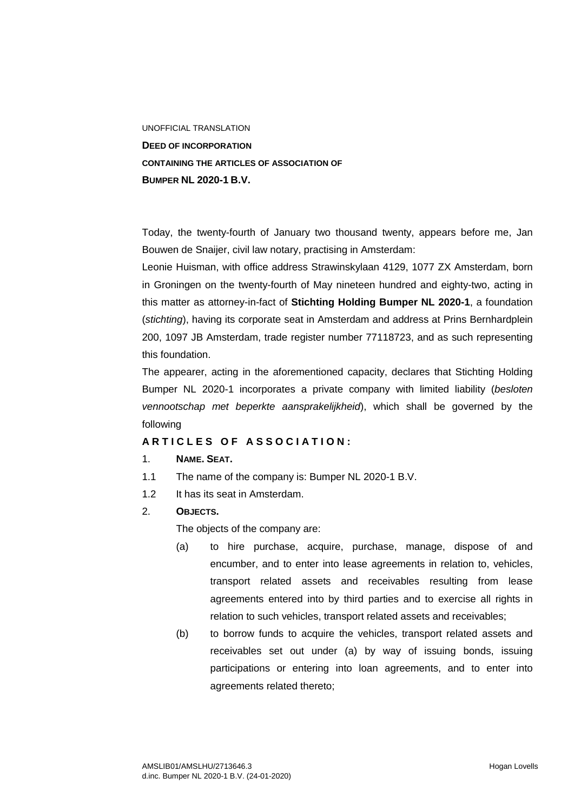UNOFFICIAL TRANSLATION **DEED OF INCORPORATION CONTAINING THE ARTICLES OF ASSOCIATION OF BUMPER NL 2020-1 B.V.** 

Today, the twenty-fourth of January two thousand twenty, appears before me, Jan Bouwen de Snaijer, civil law notary, practising in Amsterdam:

Leonie Huisman, with office address Strawinskylaan 4129, 1077 ZX Amsterdam, born in Groningen on the twenty-fourth of May nineteen hundred and eighty-two, acting in this matter as attorney-in-fact of **Stichting Holding Bumper NL 2020-1**, a foundation (*stichting*), having its corporate seat in Amsterdam and address at Prins Bernhardplein 200, 1097 JB Amsterdam, trade register number 77118723, and as such representing this foundation.

The appearer, acting in the aforementioned capacity, declares that Stichting Holding Bumper NL 2020-1 incorporates a private company with limited liability (*besloten vennootschap met beperkte aansprakelijkheid*), which shall be governed by the following

### **A R T I C L E S O F A S S O C I A T I O N :**

#### 1. **NAME. SEAT.**

- 1.1 The name of the company is: Bumper NL 2020-1 B.V.
- 1.2 It has its seat in Amsterdam.
- 2. **OBJECTS.**

The objects of the company are:

- (a) to hire purchase, acquire, purchase, manage, dispose of and encumber, and to enter into lease agreements in relation to, vehicles, transport related assets and receivables resulting from lease agreements entered into by third parties and to exercise all rights in relation to such vehicles, transport related assets and receivables;
- (b) to borrow funds to acquire the vehicles, transport related assets and receivables set out under (a) by way of issuing bonds, issuing participations or entering into loan agreements, and to enter into agreements related thereto;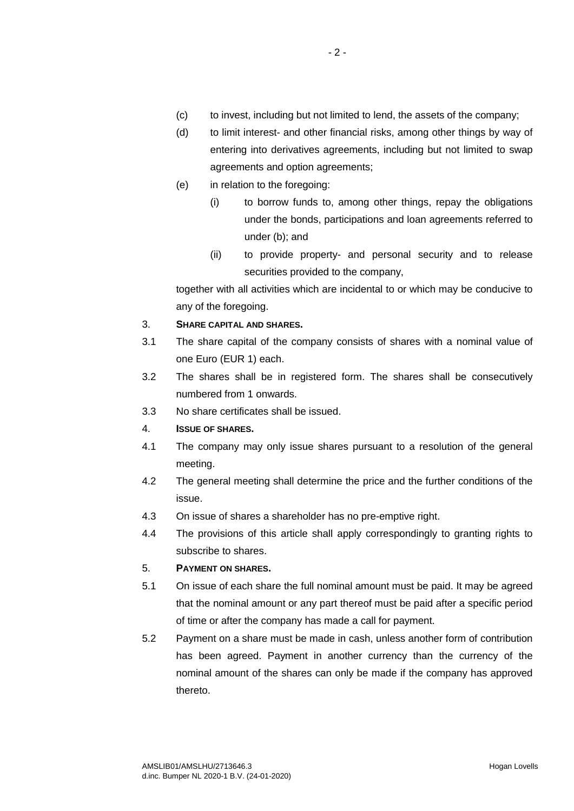- (c) to invest, including but not limited to lend, the assets of the company;
- (d) to limit interest- and other financial risks, among other things by way of entering into derivatives agreements, including but not limited to swap agreements and option agreements;
- (e) in relation to the foregoing:
	- (i) to borrow funds to, among other things, repay the obligations under the bonds, participations and loan agreements referred to under (b); and
	- (ii) to provide property- and personal security and to release securities provided to the company,

together with all activities which are incidental to or which may be conducive to any of the foregoing.

## 3. **SHARE CAPITAL AND SHARES.**

- 3.1 The share capital of the company consists of shares with a nominal value of one Euro (EUR 1) each.
- 3.2 The shares shall be in registered form. The shares shall be consecutively numbered from 1 onwards.
- 3.3 No share certificates shall be issued.
- 4. **ISSUE OF SHARES.**
- 4.1 The company may only issue shares pursuant to a resolution of the general meeting.
- 4.2 The general meeting shall determine the price and the further conditions of the issue.
- 4.3 On issue of shares a shareholder has no pre-emptive right.
- 4.4 The provisions of this article shall apply correspondingly to granting rights to subscribe to shares.

## 5. **PAYMENT ON SHARES.**

- 5.1 On issue of each share the full nominal amount must be paid. It may be agreed that the nominal amount or any part thereof must be paid after a specific period of time or after the company has made a call for payment.
- 5.2 Payment on a share must be made in cash, unless another form of contribution has been agreed. Payment in another currency than the currency of the nominal amount of the shares can only be made if the company has approved thereto.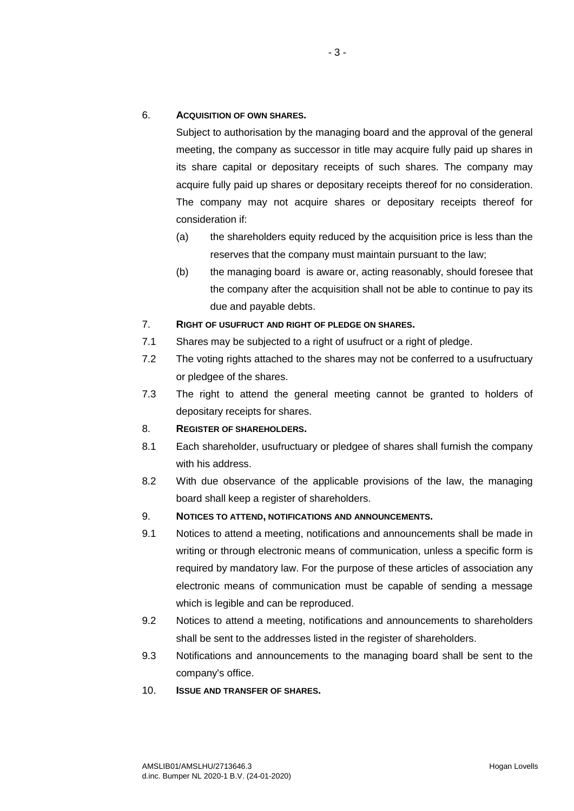## 6. **ACQUISITION OF OWN SHARES.**

Subject to authorisation by the managing board and the approval of the general meeting, the company as successor in title may acquire fully paid up shares in its share capital or depositary receipts of such shares. The company may acquire fully paid up shares or depositary receipts thereof for no consideration. The company may not acquire shares or depositary receipts thereof for consideration if:

- (a) the shareholders equity reduced by the acquisition price is less than the reserves that the company must maintain pursuant to the law;
- (b) the managing board is aware or, acting reasonably, should foresee that the company after the acquisition shall not be able to continue to pay its due and payable debts.
- 7. **RIGHT OF USUFRUCT AND RIGHT OF PLEDGE ON SHARES.**
- 7.1 Shares may be subjected to a right of usufruct or a right of pledge.
- 7.2 The voting rights attached to the shares may not be conferred to a usufructuary or pledgee of the shares.
- 7.3 The right to attend the general meeting cannot be granted to holders of depositary receipts for shares.

## 8. **REGISTER OF SHAREHOLDERS.**

- 8.1 Each shareholder, usufructuary or pledgee of shares shall furnish the company with his address.
- 8.2 With due observance of the applicable provisions of the law, the managing board shall keep a register of shareholders.
- 9. **NOTICES TO ATTEND, NOTIFICATIONS AND ANNOUNCEMENTS.**
- 9.1 Notices to attend a meeting, notifications and announcements shall be made in writing or through electronic means of communication, unless a specific form is required by mandatory law. For the purpose of these articles of association any electronic means of communication must be capable of sending a message which is legible and can be reproduced.
- 9.2 Notices to attend a meeting, notifications and announcements to shareholders shall be sent to the addresses listed in the register of shareholders.
- 9.3 Notifications and announcements to the managing board shall be sent to the company's office.
- 10. **ISSUE AND TRANSFER OF SHARES.**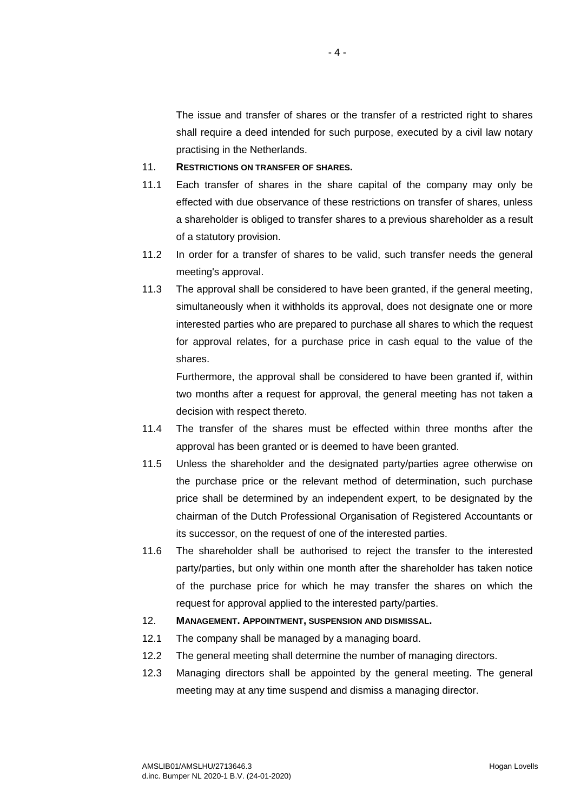The issue and transfer of shares or the transfer of a restricted right to shares shall require a deed intended for such purpose, executed by a civil law notary practising in the Netherlands.

# 11. **RESTRICTIONS ON TRANSFER OF SHARES.**

- 11.1 Each transfer of shares in the share capital of the company may only be effected with due observance of these restrictions on transfer of shares, unless a shareholder is obliged to transfer shares to a previous shareholder as a result of a statutory provision.
- 11.2 In order for a transfer of shares to be valid, such transfer needs the general meeting's approval.
- 11.3 The approval shall be considered to have been granted, if the general meeting, simultaneously when it withholds its approval, does not designate one or more interested parties who are prepared to purchase all shares to which the request for approval relates, for a purchase price in cash equal to the value of the shares.

Furthermore, the approval shall be considered to have been granted if, within two months after a request for approval, the general meeting has not taken a decision with respect thereto.

- 11.4 The transfer of the shares must be effected within three months after the approval has been granted or is deemed to have been granted.
- 11.5 Unless the shareholder and the designated party/parties agree otherwise on the purchase price or the relevant method of determination, such purchase price shall be determined by an independent expert, to be designated by the chairman of the Dutch Professional Organisation of Registered Accountants or its successor, on the request of one of the interested parties.
- 11.6 The shareholder shall be authorised to reject the transfer to the interested party/parties, but only within one month after the shareholder has taken notice of the purchase price for which he may transfer the shares on which the request for approval applied to the interested party/parties.
- 12. **MANAGEMENT. APPOINTMENT, SUSPENSION AND DISMISSAL.**
- 12.1 The company shall be managed by a managing board.
- 12.2 The general meeting shall determine the number of managing directors.
- 12.3 Managing directors shall be appointed by the general meeting. The general meeting may at any time suspend and dismiss a managing director.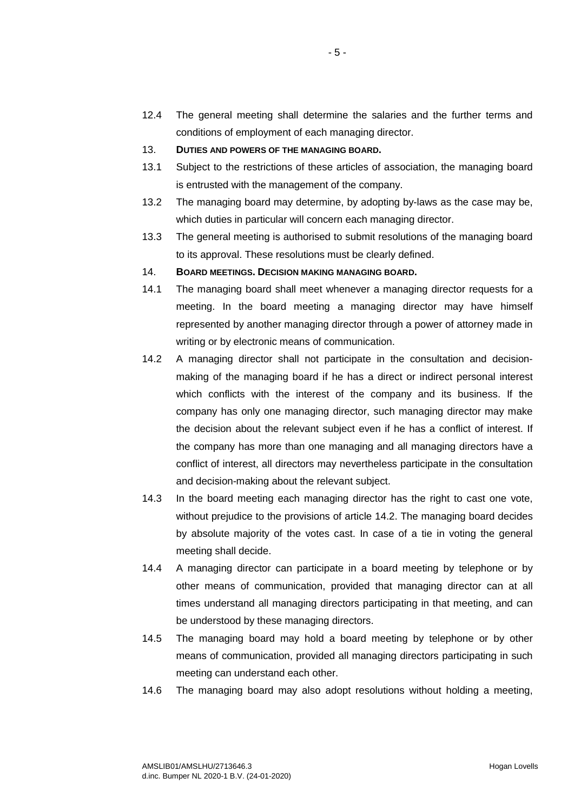12.4 The general meeting shall determine the salaries and the further terms and conditions of employment of each managing director.

- 5 -

- 13. **DUTIES AND POWERS OF THE MANAGING BOARD.**
- 13.1 Subject to the restrictions of these articles of association, the managing board is entrusted with the management of the company.
- 13.2 The managing board may determine, by adopting by-laws as the case may be, which duties in particular will concern each managing director.
- 13.3 The general meeting is authorised to submit resolutions of the managing board to its approval. These resolutions must be clearly defined.
- 14. **BOARD MEETINGS. DECISION MAKING MANAGING BOARD.**
- 14.1 The managing board shall meet whenever a managing director requests for a meeting. In the board meeting a managing director may have himself represented by another managing director through a power of attorney made in writing or by electronic means of communication.
- 14.2 A managing director shall not participate in the consultation and decisionmaking of the managing board if he has a direct or indirect personal interest which conflicts with the interest of the company and its business. If the company has only one managing director, such managing director may make the decision about the relevant subject even if he has a conflict of interest. If the company has more than one managing and all managing directors have a conflict of interest, all directors may nevertheless participate in the consultation and decision-making about the relevant subject.
- 14.3 In the board meeting each managing director has the right to cast one vote, without prejudice to the provisions of article 14.2. The managing board decides by absolute majority of the votes cast. In case of a tie in voting the general meeting shall decide.
- 14.4 A managing director can participate in a board meeting by telephone or by other means of communication, provided that managing director can at all times understand all managing directors participating in that meeting, and can be understood by these managing directors.
- 14.5 The managing board may hold a board meeting by telephone or by other means of communication, provided all managing directors participating in such meeting can understand each other.
- 14.6 The managing board may also adopt resolutions without holding a meeting,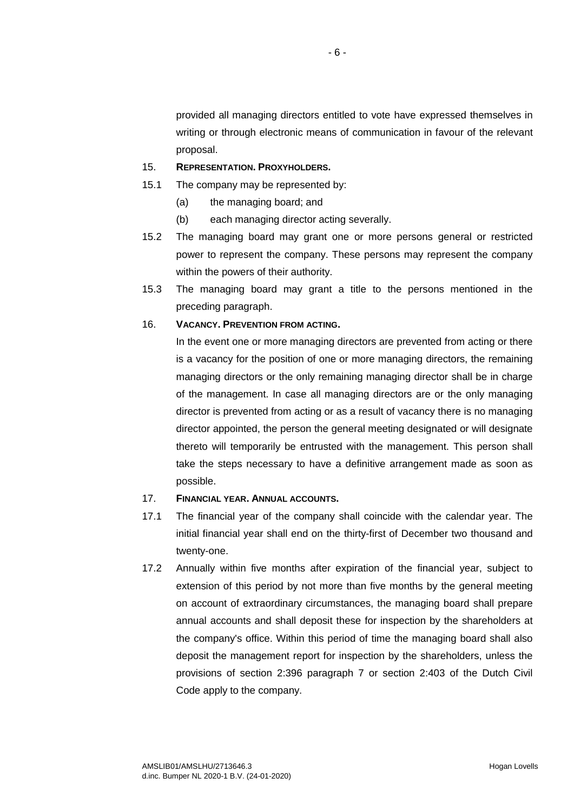provided all managing directors entitled to vote have expressed themselves in writing or through electronic means of communication in favour of the relevant proposal.

## 15. **REPRESENTATION. PROXYHOLDERS.**

- 15.1 The company may be represented by:
	- (a) the managing board; and
	- (b) each managing director acting severally.
- 15.2 The managing board may grant one or more persons general or restricted power to represent the company. These persons may represent the company within the powers of their authority.
- 15.3 The managing board may grant a title to the persons mentioned in the preceding paragraph.

## 16. **VACANCY. PREVENTION FROM ACTING.**

In the event one or more managing directors are prevented from acting or there is a vacancy for the position of one or more managing directors, the remaining managing directors or the only remaining managing director shall be in charge of the management. In case all managing directors are or the only managing director is prevented from acting or as a result of vacancy there is no managing director appointed, the person the general meeting designated or will designate thereto will temporarily be entrusted with the management. This person shall take the steps necessary to have a definitive arrangement made as soon as possible.

#### 17. **FINANCIAL YEAR. ANNUAL ACCOUNTS.**

- 17.1 The financial year of the company shall coincide with the calendar year. The initial financial year shall end on the thirty-first of December two thousand and twenty-one.
- 17.2 Annually within five months after expiration of the financial year, subject to extension of this period by not more than five months by the general meeting on account of extraordinary circumstances, the managing board shall prepare annual accounts and shall deposit these for inspection by the shareholders at the company's office. Within this period of time the managing board shall also deposit the management report for inspection by the shareholders, unless the provisions of section 2:396 paragraph 7 or section 2:403 of the Dutch Civil Code apply to the company.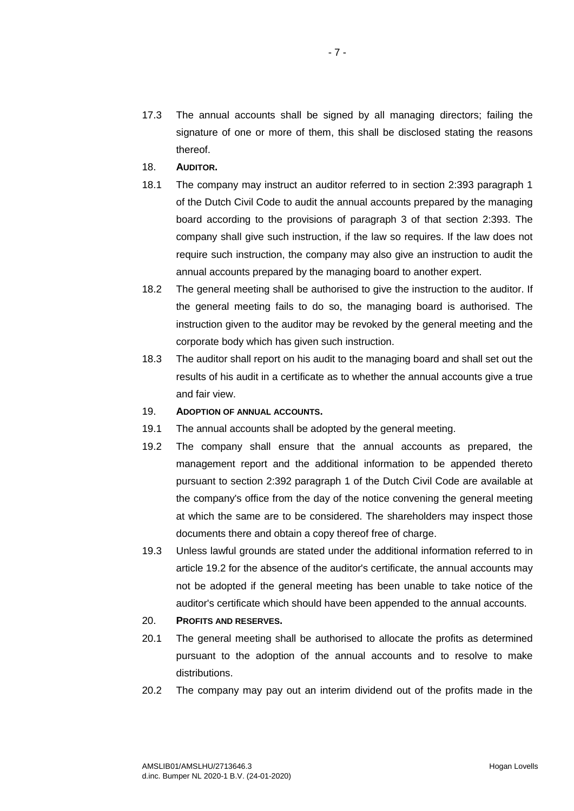- 17.3 The annual accounts shall be signed by all managing directors; failing the signature of one or more of them, this shall be disclosed stating the reasons thereof.
- 18. **AUDITOR.**
- 18.1 The company may instruct an auditor referred to in section 2:393 paragraph 1 of the Dutch Civil Code to audit the annual accounts prepared by the managing board according to the provisions of paragraph 3 of that section 2:393. The company shall give such instruction, if the law so requires. If the law does not require such instruction, the company may also give an instruction to audit the annual accounts prepared by the managing board to another expert.
- 18.2 The general meeting shall be authorised to give the instruction to the auditor. If the general meeting fails to do so, the managing board is authorised. The instruction given to the auditor may be revoked by the general meeting and the corporate body which has given such instruction.
- 18.3 The auditor shall report on his audit to the managing board and shall set out the results of his audit in a certificate as to whether the annual accounts give a true and fair view.

#### 19. **ADOPTION OF ANNUAL ACCOUNTS.**

- 19.1 The annual accounts shall be adopted by the general meeting.
- 19.2 The company shall ensure that the annual accounts as prepared, the management report and the additional information to be appended thereto pursuant to section 2:392 paragraph 1 of the Dutch Civil Code are available at the company's office from the day of the notice convening the general meeting at which the same are to be considered. The shareholders may inspect those documents there and obtain a copy thereof free of charge.
- 19.3 Unless lawful grounds are stated under the additional information referred to in article 19.2 for the absence of the auditor's certificate, the annual accounts may not be adopted if the general meeting has been unable to take notice of the auditor's certificate which should have been appended to the annual accounts.

## 20. **PROFITS AND RESERVES.**

- 20.1 The general meeting shall be authorised to allocate the profits as determined pursuant to the adoption of the annual accounts and to resolve to make distributions.
- 20.2 The company may pay out an interim dividend out of the profits made in the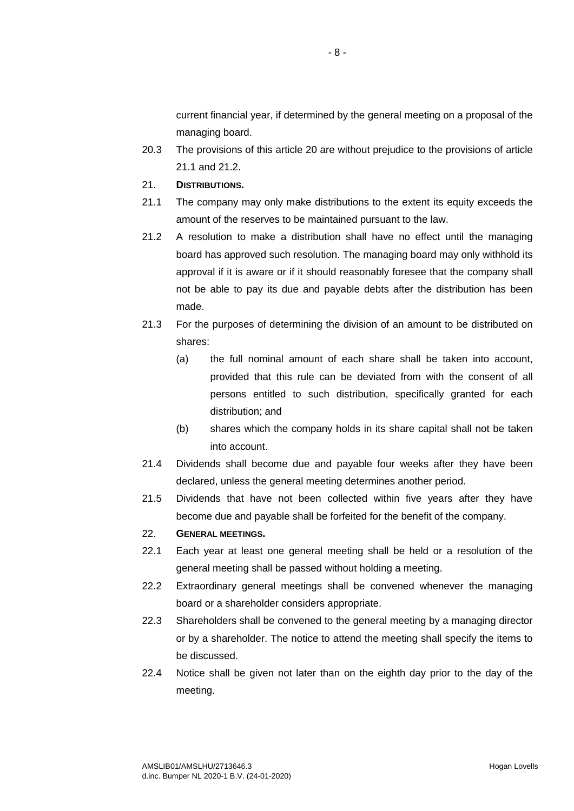current financial year, if determined by the general meeting on a proposal of the managing board.

- 20.3 The provisions of this article 20 are without prejudice to the provisions of article 21.1 and 21.2.
- 21. **DISTRIBUTIONS.**
- 21.1 The company may only make distributions to the extent its equity exceeds the amount of the reserves to be maintained pursuant to the law.
- 21.2 A resolution to make a distribution shall have no effect until the managing board has approved such resolution. The managing board may only withhold its approval if it is aware or if it should reasonably foresee that the company shall not be able to pay its due and payable debts after the distribution has been made.
- 21.3 For the purposes of determining the division of an amount to be distributed on shares:
	- (a) the full nominal amount of each share shall be taken into account, provided that this rule can be deviated from with the consent of all persons entitled to such distribution, specifically granted for each distribution; and
	- (b) shares which the company holds in its share capital shall not be taken into account.
- 21.4 Dividends shall become due and payable four weeks after they have been declared, unless the general meeting determines another period.
- 21.5 Dividends that have not been collected within five years after they have become due and payable shall be forfeited for the benefit of the company.

## 22. **GENERAL MEETINGS.**

- 22.1 Each year at least one general meeting shall be held or a resolution of the general meeting shall be passed without holding a meeting.
- 22.2 Extraordinary general meetings shall be convened whenever the managing board or a shareholder considers appropriate.
- 22.3 Shareholders shall be convened to the general meeting by a managing director or by a shareholder. The notice to attend the meeting shall specify the items to be discussed.
- 22.4 Notice shall be given not later than on the eighth day prior to the day of the meeting.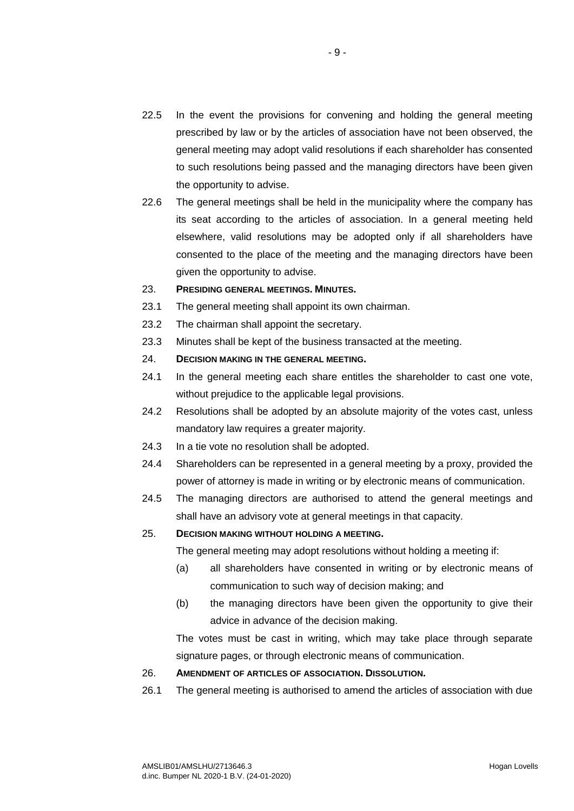- 22.5 In the event the provisions for convening and holding the general meeting prescribed by law or by the articles of association have not been observed, the general meeting may adopt valid resolutions if each shareholder has consented to such resolutions being passed and the managing directors have been given the opportunity to advise.
- 22.6 The general meetings shall be held in the municipality where the company has its seat according to the articles of association. In a general meeting held elsewhere, valid resolutions may be adopted only if all shareholders have consented to the place of the meeting and the managing directors have been given the opportunity to advise.

#### 23. **PRESIDING GENERAL MEETINGS. MINUTES.**

- 23.1 The general meeting shall appoint its own chairman.
- 23.2 The chairman shall appoint the secretary.
- 23.3 Minutes shall be kept of the business transacted at the meeting.
- 24. **DECISION MAKING IN THE GENERAL MEETING.**
- 24.1 In the general meeting each share entitles the shareholder to cast one vote, without prejudice to the applicable legal provisions.
- 24.2 Resolutions shall be adopted by an absolute majority of the votes cast, unless mandatory law requires a greater majority.
- 24.3 In a tie vote no resolution shall be adopted.
- 24.4 Shareholders can be represented in a general meeting by a proxy, provided the power of attorney is made in writing or by electronic means of communication.
- 24.5 The managing directors are authorised to attend the general meetings and shall have an advisory vote at general meetings in that capacity.

## 25. **DECISION MAKING WITHOUT HOLDING A MEETING.**

The general meeting may adopt resolutions without holding a meeting if:

- (a) all shareholders have consented in writing or by electronic means of communication to such way of decision making; and
- (b) the managing directors have been given the opportunity to give their advice in advance of the decision making.

The votes must be cast in writing, which may take place through separate signature pages, or through electronic means of communication.

## 26. **AMENDMENT OF ARTICLES OF ASSOCIATION. DISSOLUTION.**

26.1 The general meeting is authorised to amend the articles of association with due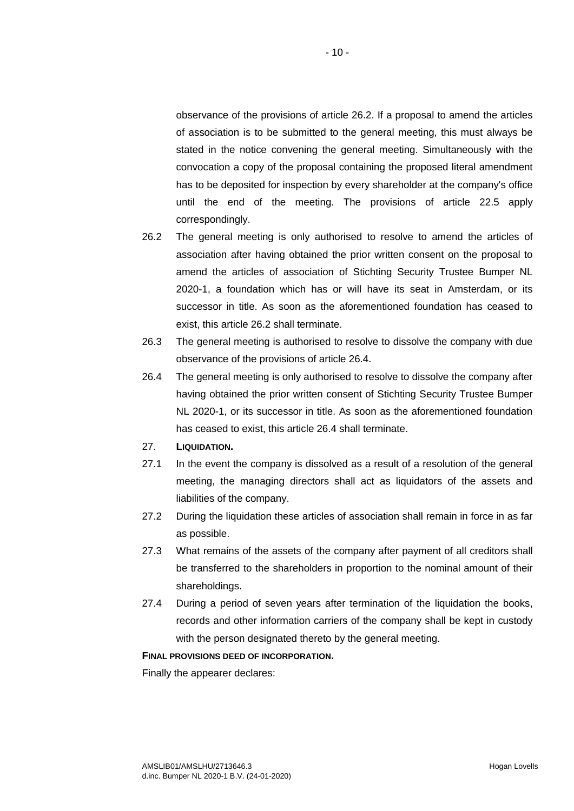observance of the provisions of article 26.2. If a proposal to amend the articles of association is to be submitted to the general meeting, this must always be stated in the notice convening the general meeting. Simultaneously with the convocation a copy of the proposal containing the proposed literal amendment has to be deposited for inspection by every shareholder at the company's office until the end of the meeting. The provisions of article 22.5 apply correspondingly.

 $-10-$ 

- 26.2 The general meeting is only authorised to resolve to amend the articles of association after having obtained the prior written consent on the proposal to amend the articles of association of Stichting Security Trustee Bumper NL 2020-1, a foundation which has or will have its seat in Amsterdam, or its successor in title. As soon as the aforementioned foundation has ceased to exist, this article 26.2 shall terminate.
- 26.3 The general meeting is authorised to resolve to dissolve the company with due observance of the provisions of article 26.4.
- 26.4 The general meeting is only authorised to resolve to dissolve the company after having obtained the prior written consent of Stichting Security Trustee Bumper NL 2020-1, or its successor in title. As soon as the aforementioned foundation has ceased to exist, this article 26.4 shall terminate.

## 27. **LIQUIDATION.**

- 27.1 In the event the company is dissolved as a result of a resolution of the general meeting, the managing directors shall act as liquidators of the assets and liabilities of the company.
- 27.2 During the liquidation these articles of association shall remain in force in as far as possible.
- 27.3 What remains of the assets of the company after payment of all creditors shall be transferred to the shareholders in proportion to the nominal amount of their shareholdings.
- 27.4 During a period of seven years after termination of the liquidation the books, records and other information carriers of the company shall be kept in custody with the person designated thereto by the general meeting.

## **FINAL PROVISIONS DEED OF INCORPORATION.**

Finally the appearer declares: